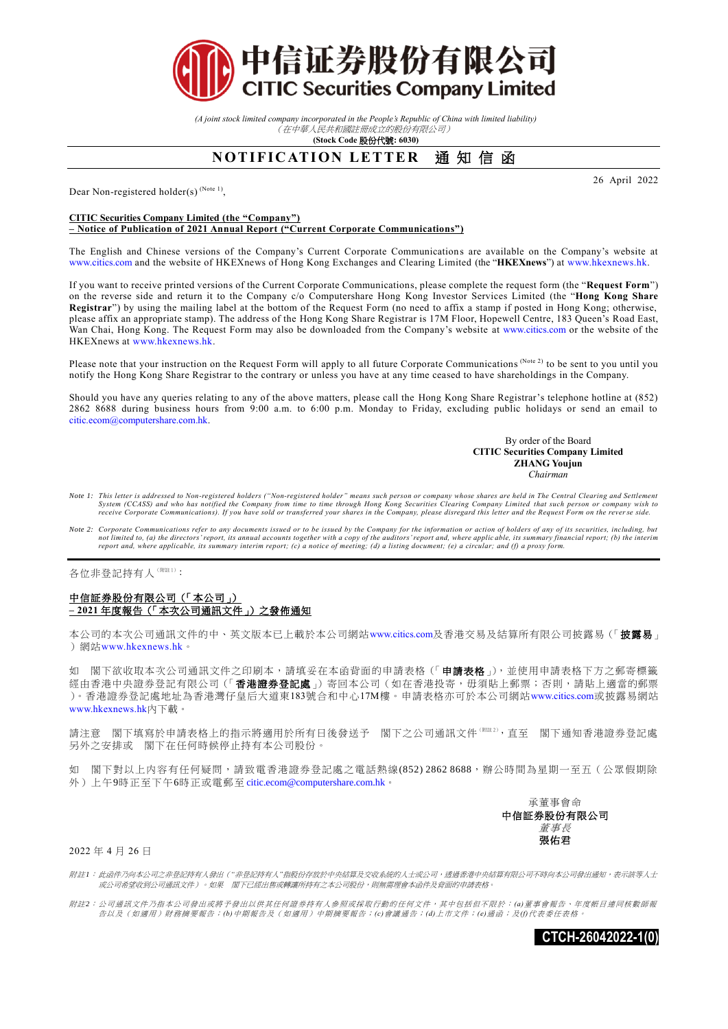

*(A joint stock limited company incorporated in the People's Republic of China with limited liability)* (在中華人民共和國註冊成立的股份有限公司)

**(Stock Code** 股份代號**: 6030)**

## **NOTIFICATION LETTER** 通知信函

Dear Non-registered holder(s)<sup>(Note 1)</sup>,

26 April 2022

## **CITIC Securities Company Limited (the "Company") – Notice of Publication of 2021 Annual Report ("Current Corporate Communications")**

The English and Chinese versions of the Company's Current Corporate Communication s are available on the Company's website at [www.citics.com](http://www.citics.com/) and the website of HKEXnews of Hong Kong Exchanges and Clearing Limited (the "**HKEXnews**") at [www.hkexnews.hk.](http://www.hkexnews.hk/)

If you want to receive printed versions of the Current Corporate Communications, please complete the request form (the "**Request Form**") on the reverse side and return it to the Company c/o Computershare Hong Kong Investor Services Limited (the "**Hong Kong Share Registrar**") by using the mailing label at the bottom of the Request Form (no need to affix a stamp if posted in Hong Kong; otherwise, please affix an appropriate stamp). The address of the Hong Kong Share Registrar is 17M Floor, Hopewell Centre, 183 Queen's Road East, Wan Chai, Hong Kong. The Request Form may also be downloaded from the Company's website at [www.citics.com](http://www.citics.com/) or the website of the HKEXnews a[t www.hkexnews.hk.](http://www.hkexnews.hk/)

Please note that your instruction on the Request Form will apply to all future Corporate Communications (Note 2) to be sent to you until you notify the Hong Kong Share Registrar to the contrary or unless you have at any time ceased to have shareholdings in the Company.

Should you have any queries relating to any of the above matters, please call the Hong Kong Share Registrar's telephone hotline at (852) 2862 8688 during business hours from 9:00 a.m. to 6:00 p.m. Monday to Friday, excluding public holidays or send an email to [citic.ecom@computershare.com.hk.](mailto:%20citic.ecom@computershare.com.hk)

> By order of the Board **CITIC Securities Company Limited ZHANG Youjun**  *Chairman*

- Note 1: This letter is addressed to Non-registered holders ("Non-registered holder" means such person or company whose shares are held in The Central Clearing and Settlement<br>System (CCASS) and who has notified the Company
- *Note 2: Corporate Communications refer to any documents issued or to be issued by the Company for the information or action of holders of any of its securities, including, but not limited to, (a) the directors' report, its annual accounts together with a copy of the auditors' report and, where applic able, its summary financial report; (b) the interim report and, where applicable, its summary interim report; (c) a notice of meeting; (d) a listing document; (e) a circular; and (f) a proxy form.*

各位非登記持有人(附註1):

## 中信証券股份有限公司(「本公司」) **– 2021** 年度報告(「本次公司通訊文件」)之發佈通知

本公司的本次公司通訊文件的中、英文版本已上載於本公司網站[www.citics.com](http://www.citics.com/)及香港交易及結算所有限公司披露易(「披露易」 ) 網站[www.hkexnews.hk](http://www.hkexnews.hk/)。

如 閣下欲收取本次公司通訊文件之印刷本,請填妥在本函背面的申請表格(「申請表格」),並使用申請表格下方之郵寄標籤 經由香港中央證券登記有限公司(「香港證券登記處」)寄回本公司(如在香港投寄,毋須貼上郵票;否則,請貼上適當的郵票 )。香港證券登記處地址為香港灣仔皇后大道東183號合和中心17M樓。申請表格亦可於本公司網站[www.citics.com](http://www.citics.com/)或披露易網站 [www.hkexnews.hk](http://www.hkexnews.hk/)內下載。

請注意 閣下填寫於申請表格上的指示將適用於所有日後發送予 閣下之公司通訊文件(###),直至 閣下通知香港證券登記處 另外之安排或 閣下在任何時候停止持有本公司股份。

如 閣下對以上内容有任何疑問,請致電香港證券登記處之電話熱線(852) 2862 8688,辦公時間為星期一至五(公眾假期除 外)上午9時正至下午6時正或電郵至 [citic.ecom@computershare.com.hk](mailto:citic.ecom@computershare.com.hk)。

> 承董事會命 中信証券股份有限公司 董事長 張佑君

2022 年 4 月 26 日

附註*1*: 此函件乃向本公司之非登記持有人發出(*"*非登記持有人*"*指股份存放於中央結算及交收系統的人士或公司,透過香港中央結算有限公司不時向本公司發出通知,表示該等人士 或公司希望收到公司通訊文件)。如果 閣下已經出售或轉讓所持有之本公司股份,則無需理會本函件及背面的申請表格。

附註*2*: 公司通訊文件乃指本公司發出或將予發出以供其任何證券持有人參照或採取行動的任何文件,其中包括但不限於: *(a)*董事會報告、年度帳目連同核數師報 告以及(如適用)財務摘要報告;*(b)*中期報告及(如適用)中期摘要報告;*(c)*會議通告;*(d)*上市文件;*(e)*通函;及*(f)*代表委任表格。